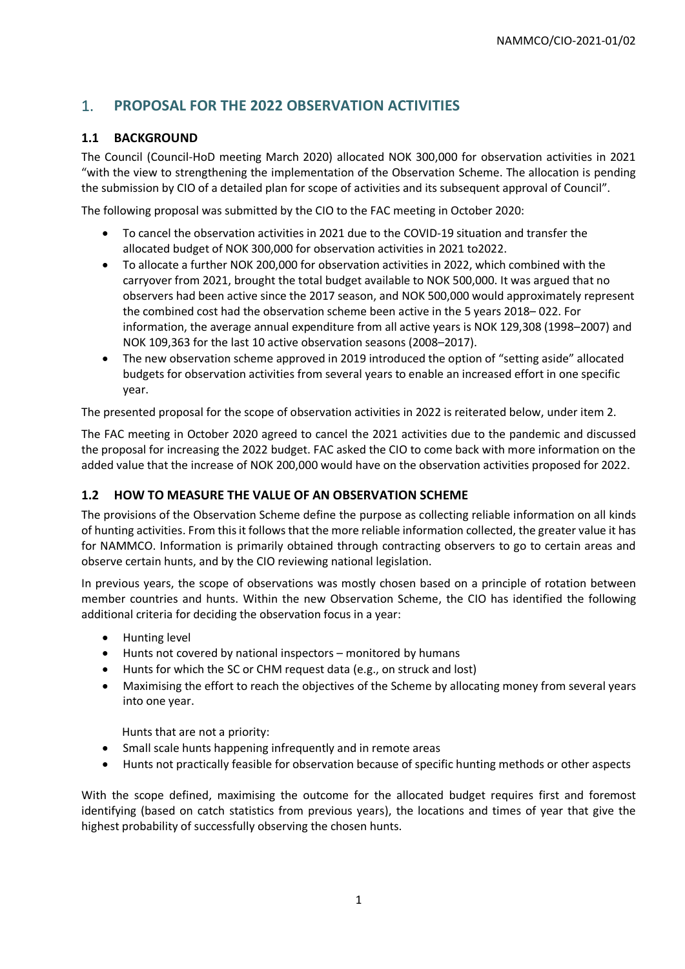# 1. **PROPOSAL FOR THE 2022 OBSERVATION ACTIVITIES**

# **1.1 BACKGROUND**

The Council (Council-HoD meeting March 2020) allocated NOK 300,000 for observation activities in 2021 "with the view to strengthening the implementation of the Observation Scheme. The allocation is pending the submission by CIO of a detailed plan for scope of activities and its subsequent approval of Council".

The following proposal was submitted by the CIO to the FAC meeting in October 2020:

- To cancel the observation activities in 2021 due to the COVID-19 situation and transfer the allocated budget of NOK 300,000 for observation activities in 2021 to2022.
- To allocate a further NOK 200,000 for observation activities in 2022, which combined with the carryover from 2021, brought the total budget available to NOK 500,000. It was argued that no observers had been active since the 2017 season, and NOK 500,000 would approximately represent the combined cost had the observation scheme been active in the 5 years 2018– 022. For information, the average annual expenditure from all active years is NOK 129,308 (1998–2007) and NOK 109,363 for the last 10 active observation seasons (2008–2017).
- The new observation scheme approved in 2019 introduced the option of "setting aside" allocated budgets for observation activities from several years to enable an increased effort in one specific year.

The presented proposal for the scope of observation activities in 2022 is reiterated below, under item 2.

The FAC meeting in October 2020 agreed to cancel the 2021 activities due to the pandemic and discussed the proposal for increasing the 2022 budget. FAC asked the CIO to come back with more information on the added value that the increase of NOK 200,000 would have on the observation activities proposed for 2022.

# **1.2 HOW TO MEASURE THE VALUE OF AN OBSERVATION SCHEME**

The provisions of the Observation Scheme define the purpose as collecting reliable information on all kinds of hunting activities. From this it follows that the more reliable information collected, the greater value it has for NAMMCO. Information is primarily obtained through contracting observers to go to certain areas and observe certain hunts, and by the CIO reviewing national legislation.

In previous years, the scope of observations was mostly chosen based on a principle of rotation between member countries and hunts. Within the new Observation Scheme, the CIO has identified the following additional criteria for deciding the observation focus in a year:

- Hunting level
- Hunts not covered by national inspectors monitored by humans
- Hunts for which the SC or CHM request data (e.g., on struck and lost)
- Maximising the effort to reach the objectives of the Scheme by allocating money from several years into one year.

Hunts that are not a priority:

- Small scale hunts happening infrequently and in remote areas
- Hunts not practically feasible for observation because of specific hunting methods or other aspects

With the scope defined, maximising the outcome for the allocated budget requires first and foremost identifying (based on catch statistics from previous years), the locations and times of year that give the highest probability of successfully observing the chosen hunts.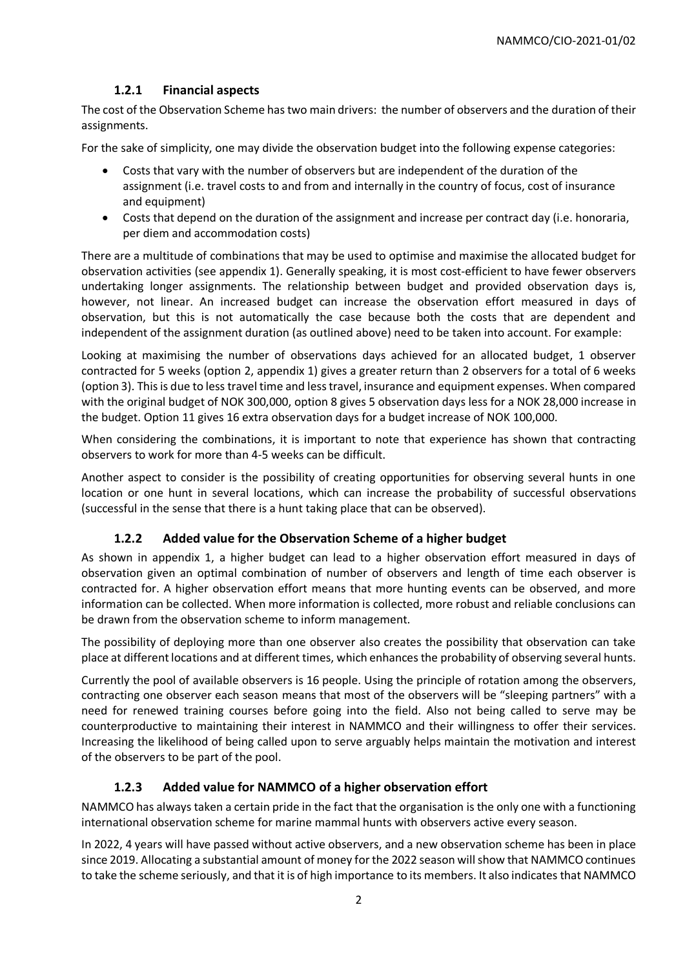# **1.2.1 Financial aspects**

The cost of the Observation Scheme has two main drivers: the number of observers and the duration of their assignments.

For the sake of simplicity, one may divide the observation budget into the following expense categories:

- Costs that vary with the number of observers but are independent of the duration of the assignment (i.e. travel costs to and from and internally in the country of focus, cost of insurance and equipment)
- Costs that depend on the duration of the assignment and increase per contract day (i.e. honoraria, per diem and accommodation costs)

There are a multitude of combinations that may be used to optimise and maximise the allocated budget for observation activities (see appendix 1). Generally speaking, it is most cost-efficient to have fewer observers undertaking longer assignments. The relationship between budget and provided observation days is, however, not linear. An increased budget can increase the observation effort measured in days of observation, but this is not automatically the case because both the costs that are dependent and independent of the assignment duration (as outlined above) need to be taken into account. For example:

Looking at maximising the number of observations days achieved for an allocated budget, 1 observer contracted for 5 weeks (option 2, appendix 1) gives a greater return than 2 observers for a total of 6 weeks (option 3). This is due to less travel time and less travel, insurance and equipment expenses. When compared with the original budget of NOK 300,000, option 8 gives 5 observation days less for a NOK 28,000 increase in the budget. Option 11 gives 16 extra observation days for a budget increase of NOK 100,000.

When considering the combinations, it is important to note that experience has shown that contracting observers to work for more than 4-5 weeks can be difficult.

Another aspect to consider is the possibility of creating opportunities for observing several hunts in one location or one hunt in several locations, which can increase the probability of successful observations (successful in the sense that there is a hunt taking place that can be observed).

# **1.2.2 Added value for the Observation Scheme of a higher budget**

As shown in appendix 1, a higher budget can lead to a higher observation effort measured in days of observation given an optimal combination of number of observers and length of time each observer is contracted for. A higher observation effort means that more hunting events can be observed, and more information can be collected. When more information is collected, more robust and reliable conclusions can be drawn from the observation scheme to inform management.

The possibility of deploying more than one observer also creates the possibility that observation can take place at different locations and at different times, which enhances the probability of observing several hunts.

Currently the pool of available observers is 16 people. Using the principle of rotation among the observers, contracting one observer each season means that most of the observers will be "sleeping partners" with a need for renewed training courses before going into the field. Also not being called to serve may be counterproductive to maintaining their interest in NAMMCO and their willingness to offer their services. Increasing the likelihood of being called upon to serve arguably helps maintain the motivation and interest of the observers to be part of the pool.

# **1.2.3 Added value for NAMMCO of a higher observation effort**

NAMMCO has always taken a certain pride in the fact that the organisation is the only one with a functioning international observation scheme for marine mammal hunts with observers active every season.

In 2022, 4 years will have passed without active observers, and a new observation scheme has been in place since 2019. Allocating a substantial amount of money for the 2022 season will show that NAMMCO continues to take the scheme seriously, and that it is of high importance to its members. It also indicates that NAMMCO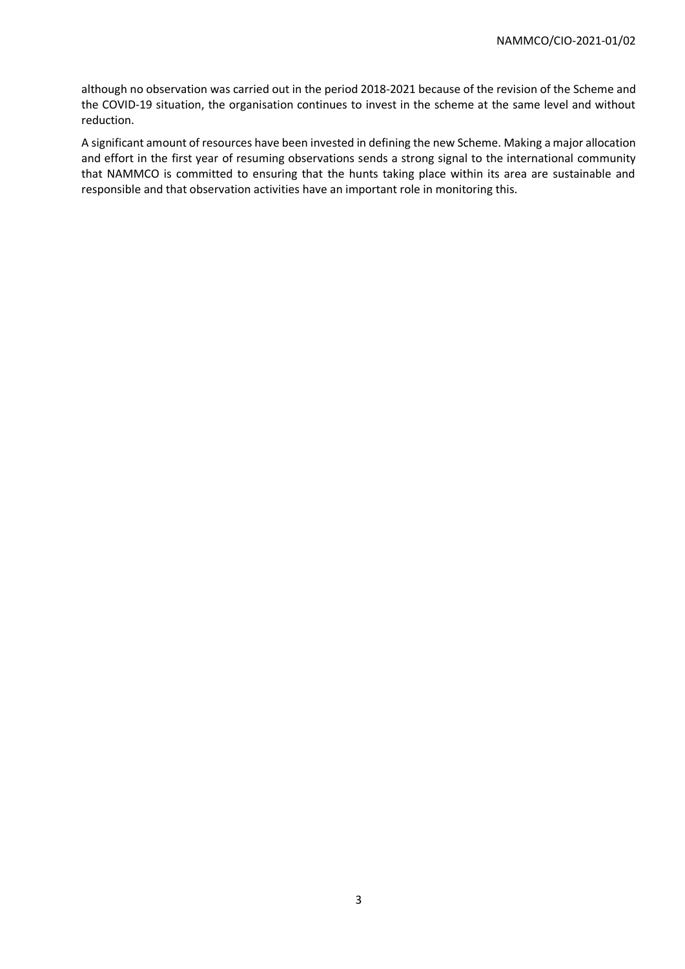although no observation was carried out in the period 2018-2021 because of the revision of the Scheme and the COVID-19 situation, the organisation continues to invest in the scheme at the same level and without reduction.

A significant amount of resources have been invested in defining the new Scheme. Making a major allocation and effort in the first year of resuming observations sends a strong signal to the international community that NAMMCO is committed to ensuring that the hunts taking place within its area are sustainable and responsible and that observation activities have an important role in monitoring this.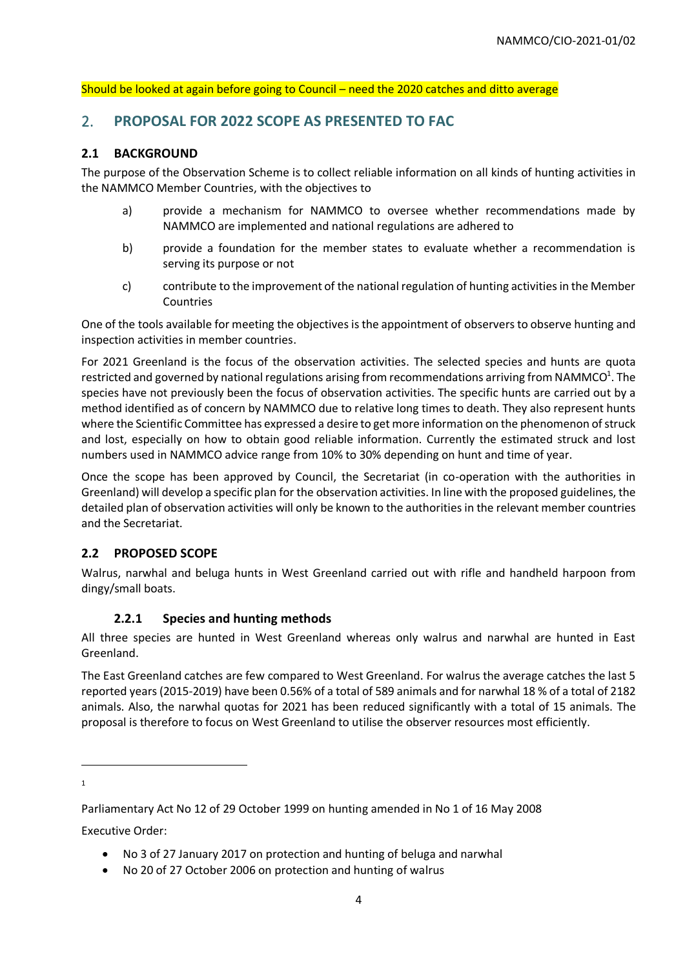#### Should be looked at again before going to Council – need the 2020 catches and ditto average

# 2. **PROPOSAL FOR 2022 SCOPE AS PRESENTED TO FAC**

#### **2.1 BACKGROUND**

The purpose of the Observation Scheme is to collect reliable information on all kinds of hunting activities in the NAMMCO Member Countries, with the objectives to

- a) provide a mechanism for NAMMCO to oversee whether recommendations made by NAMMCO are implemented and national regulations are adhered to
- b) provide a foundation for the member states to evaluate whether a recommendation is serving its purpose or not
- c) contribute to the improvement of the national regulation of hunting activities in the Member Countries

One of the tools available for meeting the objectives is the appointment of observers to observe hunting and inspection activities in member countries.

For 2021 Greenland is the focus of the observation activities. The selected species and hunts are quota restricted and governed by national regulations arising from recommendations arriving from NAMMCO<sup>1</sup>. The species have not previously been the focus of observation activities. The specific hunts are carried out by a method identified as of concern by NAMMCO due to relative long times to death. They also represent hunts where the Scientific Committee has expressed a desire to get more information on the phenomenon of struck and lost, especially on how to obtain good reliable information. Currently the estimated struck and lost numbers used in NAMMCO advice range from 10% to 30% depending on hunt and time of year.

Once the scope has been approved by Council, the Secretariat (in co-operation with the authorities in Greenland) will develop a specific plan for the observation activities. In line with the proposed guidelines, the detailed plan of observation activities will only be known to the authorities in the relevant member countries and the Secretariat.

# **2.2 PROPOSED SCOPE**

Walrus, narwhal and beluga hunts in West Greenland carried out with rifle and handheld harpoon from dingy/small boats.

# **2.2.1 Species and hunting methods**

All three species are hunted in West Greenland whereas only walrus and narwhal are hunted in East Greenland.

The East Greenland catches are few compared to West Greenland. For walrus the average catches the last 5 reported years (2015-2019) have been 0.56% of a total of 589 animals and for narwhal 18 % of a total of 2182 animals. Also, the narwhal quotas for 2021 has been reduced significantly with a total of 15 animals. The proposal is therefore to focus on West Greenland to utilise the observer resources most efficiently.

1

Executive Order:

- No 3 of 27 January 2017 on protection and hunting of beluga and narwhal
- No 20 of 27 October 2006 on protection and hunting of walrus

Parliamentary Act No 12 of 29 October 1999 on hunting amended in No 1 of 16 May 2008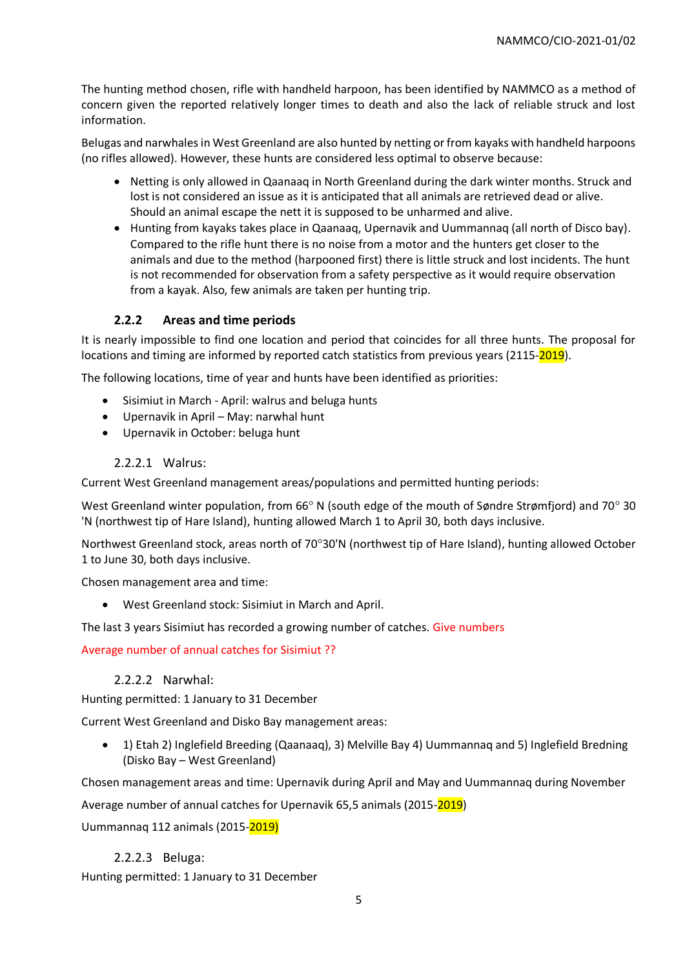The hunting method chosen, rifle with handheld harpoon, has been identified by NAMMCO as a method of concern given the reported relatively longer times to death and also the lack of reliable struck and lost information.

Belugas and narwhalesin West Greenland are also hunted by netting or from kayaks with handheld harpoons (no rifles allowed). However, these hunts are considered less optimal to observe because:

- Netting is only allowed in Qaanaaq in North Greenland during the dark winter months. Struck and lost is not considered an issue as it is anticipated that all animals are retrieved dead or alive. Should an animal escape the nett it is supposed to be unharmed and alive.
- Hunting from kayaks takes place in Qaanaaq, Upernavik and Uummannaq (all north of Disco bay). Compared to the rifle hunt there is no noise from a motor and the hunters get closer to the animals and due to the method (harpooned first) there is little struck and lost incidents. The hunt is not recommended for observation from a safety perspective as it would require observation from a kayak. Also, few animals are taken per hunting trip.

# **2.2.2 Areas and time periods**

It is nearly impossible to find one location and period that coincides for all three hunts. The proposal for locations and timing are informed by reported catch statistics from previous years (2115-2019).

The following locations, time of year and hunts have been identified as priorities:

- Sisimiut in March April: walrus and beluga hunts
- Upernavik in April May: narwhal hunt
- Upernavik in October: beluga hunt

### 2.2.2.1 Walrus:

Current West Greenland management areas/populations and permitted hunting periods:

West Greenland winter population, from 66 $^{\circ}$  N (south edge of the mouth of Søndre Strømfjord) and 70 $^{\circ}$  30 'N (northwest tip of Hare Island), hunting allowed March 1 to April 30, both days inclusive.

Northwest Greenland stock, areas north of 70°30'N (northwest tip of Hare Island), hunting allowed October 1 to June 30, both days inclusive.

Chosen management area and time:

• West Greenland stock: Sisimiut in March and April.

The last 3 years Sisimiut has recorded a growing number of catches. Give numbers

Average number of annual catches for Sisimiut ??

#### 2.2.2.2 Narwhal:

Hunting permitted: 1 January to 31 December

Current West Greenland and Disko Bay management areas:

• 1) Etah 2) Inglefield Breeding (Qaanaaq), 3) Melville Bay 4) Uummannaq and 5) Inglefield Bredning (Disko Bay – West Greenland)

Chosen management areas and time: Upernavik during April and May and Uummannaq during November

Average number of annual catches for Upernavik 65,5 animals (2015-2019)

Uummannaq 112 animals (2015-2019)

#### 2.2.2.3 Beluga:

Hunting permitted: 1 January to 31 December